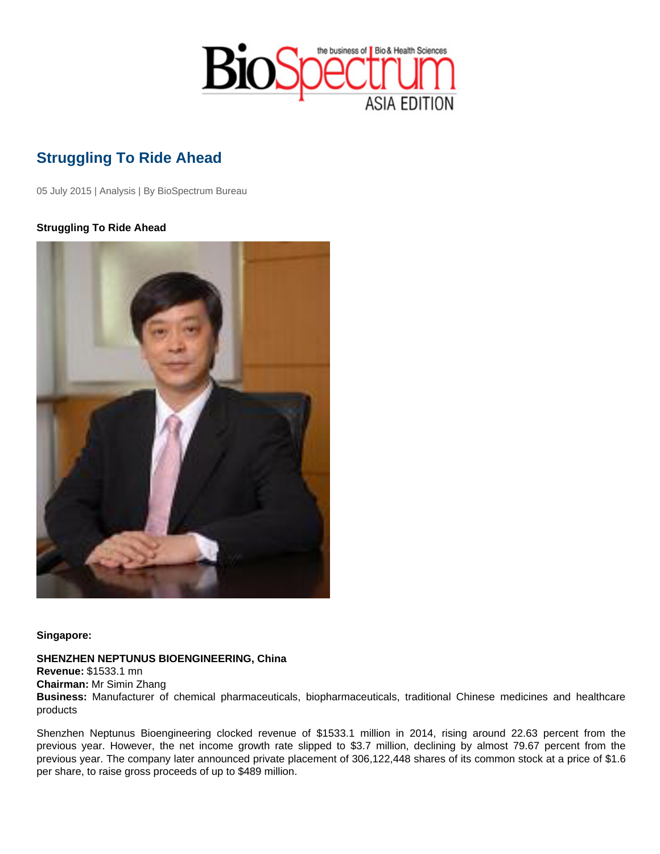## Struggling To Ride Ahead

05 July 2015 | Analysis | By BioSpectrum Bureau

Struggling To Ride Ahead

Singapore:

SHENZHEN NEPTUNUS BIOENGINEERING, China Revenue: \$1533.1 mn Chairman: Mr Simin Zhang

Business: Manufacturer of chemical pharmaceuticals, biopharmaceuticals, traditional Chinese medicines and healthcare products

Shenzhen Neptunus Bioengineering clocked revenue of \$1533.1 million in 2014, rising around 22.63 percent from the previous year. However, the net income growth rate slipped to \$3.7 million, declining by almost 79.67 percent from the previous year. The company later announced private placement of 306,122,448 shares of its common stock at a price of \$1.6 per share, to raise gross proceeds of up to \$489 million.